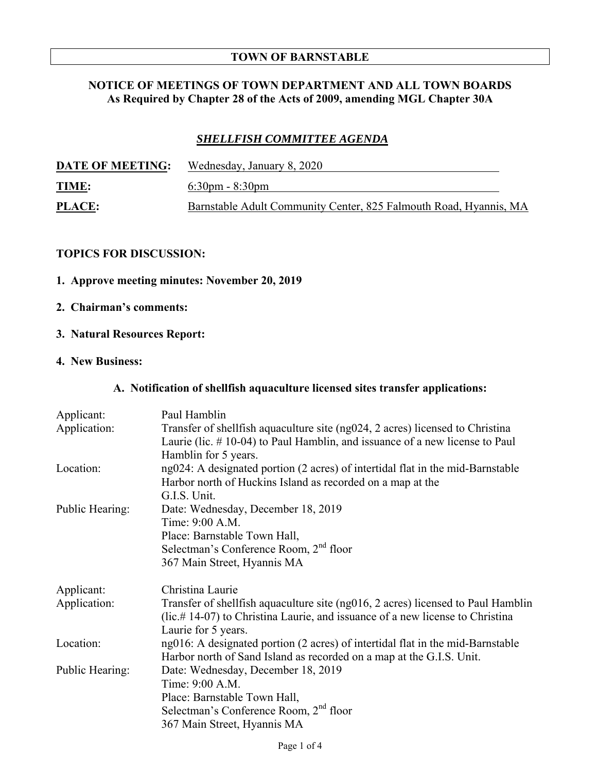#### **TOWN OF BARNSTABLE**

## **NOTICE OF MEETINGS OF TOWN DEPARTMENT AND ALL TOWN BOARDS As Required by Chapter 28 of the Acts of 2009, amending MGL Chapter 30A**

# *SHELLFISH COMMITTEE AGENDA*

| <b>DATE OF MEETING:</b> | Wednesday, January 8, 2020                                        |
|-------------------------|-------------------------------------------------------------------|
| <b>TIME:</b>            | $6:30 \text{pm} - 8:30 \text{pm}$                                 |
| <b>PLACE:</b>           | Barnstable Adult Community Center, 825 Falmouth Road, Hyannis, MA |

#### **TOPICS FOR DISCUSSION:**

# **1. Approve meeting minutes: November 20, 2019**

### **2. Chairman's comments:**

## **3. Natural Resources Report:**

# **4. New Business:**

## **A. Notification of shellfish aquaculture licensed sites transfer applications:**

| Applicant:      | Paul Hamblin                                                                                                                                                                                |
|-----------------|---------------------------------------------------------------------------------------------------------------------------------------------------------------------------------------------|
| Application:    | Transfer of shellfish aquaculture site (ng024, 2 acres) licensed to Christina<br>Laurie (lic. $\#$ 10-04) to Paul Hamblin, and issuance of a new license to Paul                            |
|                 | Hamblin for 5 years.                                                                                                                                                                        |
| Location:       | ng024: A designated portion (2 acres) of intertidal flat in the mid-Barnstable                                                                                                              |
|                 | Harbor north of Huckins Island as recorded on a map at the                                                                                                                                  |
|                 | G.I.S. Unit.                                                                                                                                                                                |
| Public Hearing: | Date: Wednesday, December 18, 2019                                                                                                                                                          |
|                 | Time: 9:00 A.M.                                                                                                                                                                             |
|                 | Place: Barnstable Town Hall,                                                                                                                                                                |
|                 | Selectman's Conference Room, 2 <sup>nd</sup> floor                                                                                                                                          |
|                 | 367 Main Street, Hyannis MA                                                                                                                                                                 |
| Applicant:      | Christina Laurie                                                                                                                                                                            |
| Application:    | Transfer of shellfish aquaculture site (ng016, 2 acres) licensed to Paul Hamblin<br>$($ lic.# 14-07) to Christina Laurie, and issuance of a new license to Christina<br>Laurie for 5 years. |
| Location:       | ng016: A designated portion (2 acres) of intertidal flat in the mid-Barnstable                                                                                                              |
|                 | Harbor north of Sand Island as recorded on a map at the G.I.S. Unit.                                                                                                                        |
| Public Hearing: | Date: Wednesday, December 18, 2019                                                                                                                                                          |
|                 | Time: 9:00 A.M.                                                                                                                                                                             |
|                 | Place: Barnstable Town Hall,                                                                                                                                                                |
|                 | Selectman's Conference Room, 2 <sup>nd</sup> floor                                                                                                                                          |
|                 |                                                                                                                                                                                             |
|                 | 367 Main Street, Hyannis MA                                                                                                                                                                 |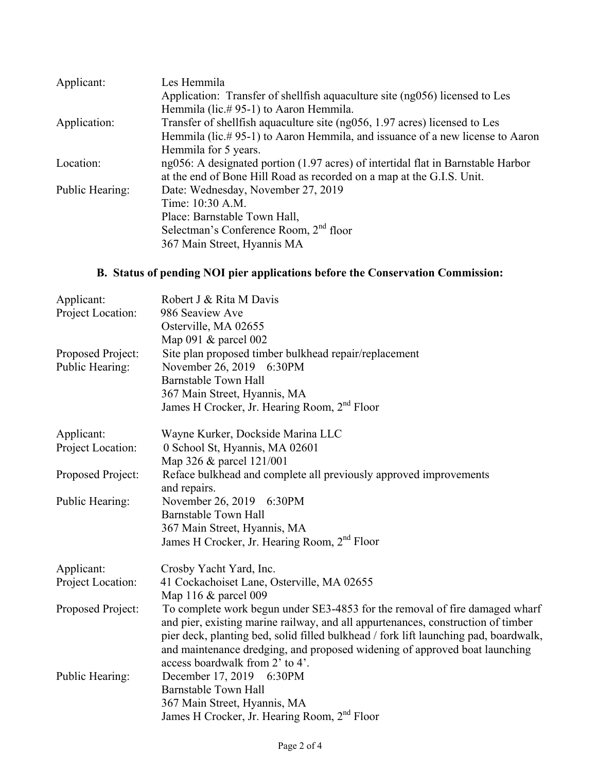| Les Hemmila                                                                         |
|-------------------------------------------------------------------------------------|
| Application: Transfer of shellfish aquaculture site (ng056) licensed to Les         |
| Hemmila (lic.#95-1) to Aaron Hemmila.                                               |
| Transfer of shellfish aquaculture site (ng056, 1.97 acres) licensed to Les          |
| Hemmila (lic.#95-1) to Aaron Hemmila, and issuance of a new license to Aaron        |
| Hemmila for 5 years.                                                                |
| $ng056$ : A designated portion (1.97 acres) of intertidal flat in Barnstable Harbor |
| at the end of Bone Hill Road as recorded on a map at the G.I.S. Unit.               |
| Date: Wednesday, November 27, 2019                                                  |
| Time: 10:30 A.M.                                                                    |
| Place: Barnstable Town Hall,                                                        |
| Selectman's Conference Room, 2 <sup>nd</sup> floor                                  |
| 367 Main Street, Hyannis MA                                                         |
|                                                                                     |

# **B. Status of pending NOI pier applications before the Conservation Commission:**

| Applicant:<br>Project Location:      | Robert J & Rita M Davis<br>986 Seaview Ave<br>Osterville, MA 02655<br>Map 091 $\&$ parcel 002                                                                      |
|--------------------------------------|--------------------------------------------------------------------------------------------------------------------------------------------------------------------|
| Proposed Project:<br>Public Hearing: | Site plan proposed timber bulkhead repair/replacement<br>November 26, 2019 6:30PM<br><b>Barnstable Town Hall</b>                                                   |
|                                      | 367 Main Street, Hyannis, MA                                                                                                                                       |
|                                      | James H Crocker, Jr. Hearing Room, 2 <sup>nd</sup> Floor                                                                                                           |
| Applicant:                           | Wayne Kurker, Dockside Marina LLC                                                                                                                                  |
| Project Location:                    | 0 School St, Hyannis, MA 02601                                                                                                                                     |
|                                      | Map 326 & parcel 121/001                                                                                                                                           |
| Proposed Project:                    | Reface bulkhead and complete all previously approved improvements<br>and repairs.                                                                                  |
| Public Hearing:                      | November 26, 2019 6:30PM                                                                                                                                           |
|                                      | <b>Barnstable Town Hall</b>                                                                                                                                        |
|                                      | 367 Main Street, Hyannis, MA                                                                                                                                       |
|                                      | James H Crocker, Jr. Hearing Room, 2 <sup>nd</sup> Floor                                                                                                           |
| Applicant:                           | Crosby Yacht Yard, Inc.                                                                                                                                            |
| Project Location:                    | 41 Cockachoiset Lane, Osterville, MA 02655                                                                                                                         |
|                                      | Map 116 $&$ parcel 009                                                                                                                                             |
| Proposed Project:                    | To complete work begun under SE3-4853 for the removal of fire damaged wharf<br>and pier, existing marine railway, and all appurtenances, construction of timber    |
|                                      | pier deck, planting bed, solid filled bulkhead / fork lift launching pad, boardwalk,<br>and maintenance dredging, and proposed widening of approved boat launching |
|                                      | access boardwalk from 2' to 4'.                                                                                                                                    |
| Public Hearing:                      | December 17, 2019 6:30PM                                                                                                                                           |
|                                      | <b>Barnstable Town Hall</b>                                                                                                                                        |
|                                      | 367 Main Street, Hyannis, MA                                                                                                                                       |
|                                      | James H Crocker, Jr. Hearing Room, 2 <sup>nd</sup> Floor                                                                                                           |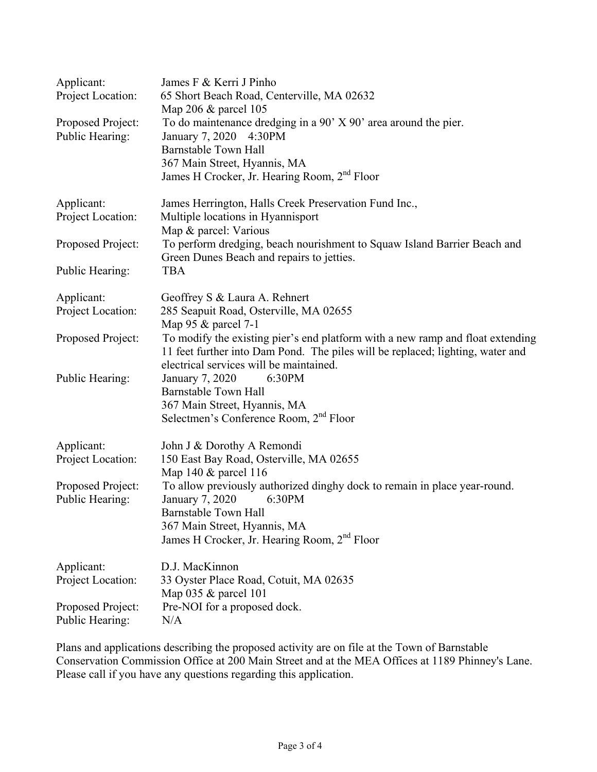| Applicant:<br>Project Location:      | James F & Kerri J Pinho<br>65 Short Beach Road, Centerville, MA 02632<br>Map 206 & parcel 105                                                                                                                              |
|--------------------------------------|----------------------------------------------------------------------------------------------------------------------------------------------------------------------------------------------------------------------------|
| Proposed Project:<br>Public Hearing: | To do maintenance dredging in a $90'$ X $90'$ area around the pier.<br>January 7, 2020<br>4:30PM<br>Barnstable Town Hall<br>367 Main Street, Hyannis, MA                                                                   |
|                                      | James H Crocker, Jr. Hearing Room, 2 <sup>nd</sup> Floor                                                                                                                                                                   |
| Applicant:<br>Project Location:      | James Herrington, Halls Creek Preservation Fund Inc.,<br>Multiple locations in Hyannisport<br>Map & parcel: Various                                                                                                        |
| Proposed Project:                    | To perform dredging, beach nourishment to Squaw Island Barrier Beach and<br>Green Dunes Beach and repairs to jetties.                                                                                                      |
| Public Hearing:                      | <b>TBA</b>                                                                                                                                                                                                                 |
| Applicant:<br>Project Location:      | Geoffrey S & Laura A. Rehnert<br>285 Seapuit Road, Osterville, MA 02655<br>Map 95 & parcel 7-1                                                                                                                             |
| Proposed Project:                    | To modify the existing pier's end platform with a new ramp and float extending<br>11 feet further into Dam Pond. The piles will be replaced; lighting, water and<br>electrical services will be maintained.                |
| Public Hearing:                      | January 7, 2020<br>6:30PM<br>Barnstable Town Hall<br>367 Main Street, Hyannis, MA<br>Selectmen's Conference Room, 2 <sup>nd</sup> Floor                                                                                    |
| Applicant:<br>Project Location:      | John J & Dorothy A Remondi<br>150 East Bay Road, Osterville, MA 02655<br>Map 140 & parcel 116                                                                                                                              |
| Proposed Project:<br>Public Hearing: | To allow previously authorized dinghy dock to remain in place year-round.<br>January 7, 2020<br>6:30PM<br>Barnstable Town Hall<br>367 Main Street, Hyannis, MA<br>James H Crocker, Jr. Hearing Room, 2 <sup>nd</sup> Floor |
| Applicant:<br>Project Location:      | D.J. MacKinnon<br>33 Oyster Place Road, Cotuit, MA 02635                                                                                                                                                                   |
| Proposed Project:<br>Public Hearing: | Map $035 \&$ parcel 101<br>Pre-NOI for a proposed dock.<br>N/A                                                                                                                                                             |

Plans and applications describing the proposed activity are on file at the Town of Barnstable Conservation Commission Office at 200 Main Street and at the MEA Offices at 1189 Phinney's Lane. Please call if you have any questions regarding this application.